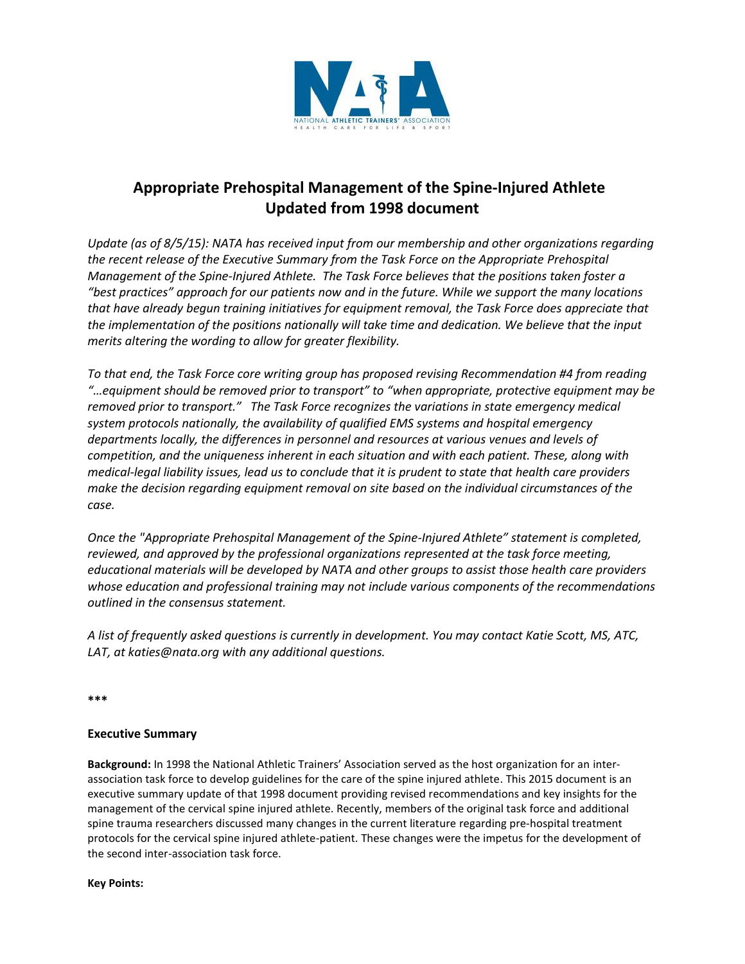

# **Appropriate Prehospital Management of the Spine-Injured Athlete Updated from 1998 document**

*Update (as of 8/5/15): NATA has received input from our membership and other organizations regarding the recent release of the Executive Summary from the Task Force on the Appropriate Prehospital Management of the Spine-Injured Athlete. The Task Force believes that the positions taken foster a "best practices" approach for our patients now and in the future. While we support the many locations that have already begun training initiatives for equipment removal, the Task Force does appreciate that the implementation of the positions nationally will take time and dedication. We believe that the input merits altering the wording to allow for greater flexibility.* 

*To that end, the Task Force core writing group has proposed revising Recommendation #4 from reading "…equipment should be removed prior to transport" to "when appropriate, protective equipment may be removed prior to transport."* The Task Force recognizes the variations in state emergency medical *system protocols nationally, the availability of qualified EMS systems and hospital emergency departments locally, the differences in personnel and resources at various venues and levels of competition, and the uniqueness inherent in each situation and with each patient. These, along with medical-legal liability issues, lead us to conclude that it is prudent to state that health care providers make the decision regarding equipment removal on site based on the individual circumstances of the case.* 

*Once the "Appropriate Prehospital Management of the Spine-Injured Athlete" statement is completed, reviewed, and approved by the professional organizations represented at the task force meeting, educational materials will be developed by NATA and other groups to assist those health care providers whose education and professional training may not include various components of the recommendations outlined in the consensus statement.* 

*A list of frequently asked questions is currently in development. You may contact Katie Scott, MS, ATC, LAT, at katies@nata.org with any additional questions.* 

**\*\*\***

# **Executive Summary**

**Background:** In 1998 the National Athletic Trainers' Association served as the host organization for an interassociation task force to develop guidelines for the care of the spine injured athlete. This 2015 document is an executive summary update of that 1998 document providing revised recommendations and key insights for the management of the cervical spine injured athlete. Recently, members of the original task force and additional spine trauma researchers discussed many changes in the current literature regarding pre-hospital treatment protocols for the cervical spine injured athlete-patient. These changes were the impetus for the development of the second inter-association task force.

**Key Points:**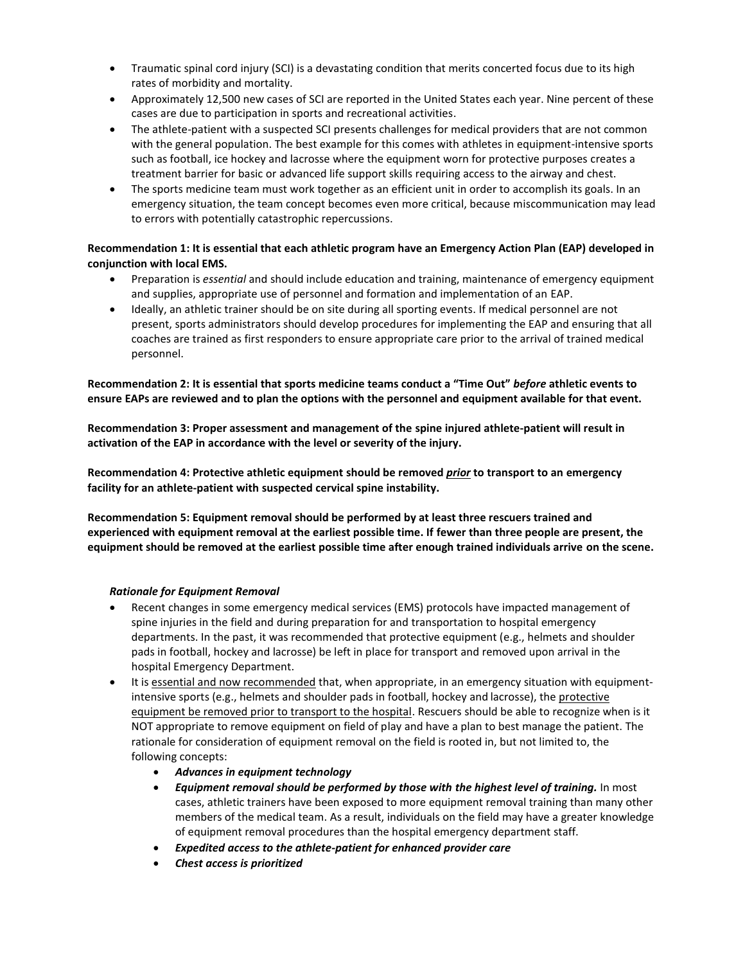- Traumatic spinal cord injury (SCI) is a devastating condition that merits concerted focus due to its high rates of morbidity and mortality.
- Approximately 12,500 new cases of SCI are reported in the United States each year. Nine percent of these cases are due to participation in sports and recreational activities.
- The athlete-patient with a suspected SCI presents challenges for medical providers that are not common with the general population. The best example for this comes with athletes in equipment-intensive sports such as football, ice hockey and lacrosse where the equipment worn for protective purposes creates a treatment barrier for basic or advanced life support skills requiring access to the airway and chest.
- The sports medicine team must work together as an efficient unit in order to accomplish its goals. In an emergency situation, the team concept becomes even more critical, because miscommunication may lead to errors with potentially catastrophic repercussions.

# **Recommendation 1: It is essential that each athletic program have an Emergency Action Plan (EAP) developed in conjunction with local EMS.**

- Preparation is *essential* and should include education and training, maintenance of emergency equipment and supplies, appropriate use of personnel and formation and implementation of an EAP.
- Ideally, an athletic trainer should be on site during all sporting events. If medical personnel are not present, sports administrators should develop procedures for implementing the EAP and ensuring that all coaches are trained as first responders to ensure appropriate care prior to the arrival of trained medical personnel.

# **Recommendation 2: It is essential that sports medicine teams conduct a "Time Out"** *before* **athletic events to ensure EAPs are reviewed and to plan the options with the personnel and equipment available for that event.**

**Recommendation 3: Proper assessment and management of the spine injured athlete-patient will result in activation of the EAP in accordance with the level or severity of the injury.**

**Recommendation 4: Protective athletic equipment should be removed** *prior* **to transport to an emergency facility for an athlete-patient with suspected cervical spine instability.** 

**Recommendation 5: Equipment removal should be performed by at least three rescuers trained and experienced with equipment removal at the earliest possible time. If fewer than three people are present, the equipment should be removed at the earliest possible time after enough trained individuals arrive on the scene.** 

#### *Rationale for Equipment Removal*

- Recent changes in some emergency medical services (EMS) protocols have impacted management of spine injuries in the field and during preparation for and transportation to hospital emergency departments. In the past, it was recommended that protective equipment (e.g., helmets and shoulder pads in football, hockey and lacrosse) be left in place for transport and removed upon arrival in the hospital Emergency Department.
- It is essential and now recommended that, when appropriate, in an emergency situation with equipmentintensive sports (e.g., helmets and shoulder pads in football, hockey and lacrosse), the protective equipment be removed prior to transport to the hospital. Rescuers should be able to recognize when is it NOT appropriate to remove equipment on field of play and have a plan to best manage the patient. The rationale for consideration of equipment removal on the field is rooted in, but not limited to, the following concepts:
	- *Advances in equipment technology*
	- *Equipment removal should be performed by those with the highest level of training.* In most cases, athletic trainers have been exposed to more equipment removal training than many other members of the medical team. As a result, individuals on the field may have a greater knowledge of equipment removal procedures than the hospital emergency department staff.
	- *Expedited access to the athlete-patient for enhanced provider care*
	- *Chest access is prioritized*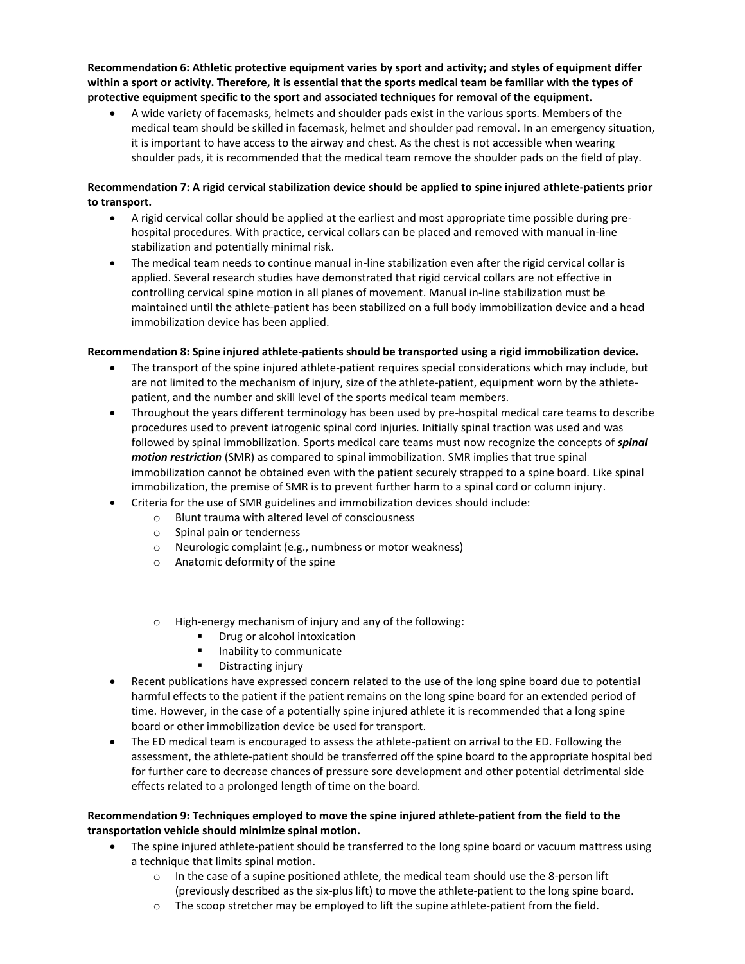**Recommendation 6: Athletic protective equipment varies by sport and activity; and styles of equipment differ within a sport or activity. Therefore, it is essential that the sports medical team be familiar with the types of protective equipment specific to the sport and associated techniques for removal of the equipment.** 

 A wide variety of facemasks, helmets and shoulder pads exist in the various sports. Members of the medical team should be skilled in facemask, helmet and shoulder pad removal. In an emergency situation, it is important to have access to the airway and chest. As the chest is not accessible when wearing shoulder pads, it is recommended that the medical team remove the shoulder pads on the field of play.

# **Recommendation 7: A rigid cervical stabilization device should be applied to spine injured athlete-patients prior to transport.**

- A rigid cervical collar should be applied at the earliest and most appropriate time possible during prehospital procedures. With practice, cervical collars can be placed and removed with manual in-line stabilization and potentially minimal risk.
- The medical team needs to continue manual in-line stabilization even after the rigid cervical collar is applied. Several research studies have demonstrated that rigid cervical collars are not effective in controlling cervical spine motion in all planes of movement. Manual in-line stabilization must be maintained until the athlete-patient has been stabilized on a full body immobilization device and a head immobilization device has been applied.

#### **Recommendation 8: Spine injured athlete-patients should be transported using a rigid immobilization device.**

- The transport of the spine injured athlete-patient requires special considerations which may include, but are not limited to the mechanism of injury, size of the athlete-patient, equipment worn by the athletepatient, and the number and skill level of the sports medical team members.
- Throughout the years different terminology has been used by pre-hospital medical care teams to describe procedures used to prevent iatrogenic spinal cord injuries. Initially spinal traction was used and was followed by spinal immobilization. Sports medical care teams must now recognize the concepts of *spinal motion restriction* (SMR) as compared to spinal immobilization. SMR implies that true spinal immobilization cannot be obtained even with the patient securely strapped to a spine board. Like spinal immobilization, the premise of SMR is to prevent further harm to a spinal cord or column injury.
- Criteria for the use of SMR guidelines and immobilization devices should include:
	- o Blunt trauma with altered level of consciousness
		- o Spinal pain or tenderness
		- o Neurologic complaint (e.g., numbness or motor weakness)
		- o Anatomic deformity of the spine
		- o High-energy mechanism of injury and any of the following:
			- Drug or alcohol intoxication
			- **Inability to communicate**
			- **•** Distracting injury
- Recent publications have expressed concern related to the use of the long spine board due to potential harmful effects to the patient if the patient remains on the long spine board for an extended period of time. However, in the case of a potentially spine injured athlete it is recommended that a long spine board or other immobilization device be used for transport.
- The ED medical team is encouraged to assess the athlete-patient on arrival to the ED. Following the assessment, the athlete-patient should be transferred off the spine board to the appropriate hospital bed for further care to decrease chances of pressure sore development and other potential detrimental side effects related to a prolonged length of time on the board.

#### **Recommendation 9: Techniques employed to move the spine injured athlete-patient from the field to the transportation vehicle should minimize spinal motion.**

- The spine injured athlete-patient should be transferred to the long spine board or vacuum mattress using a technique that limits spinal motion.
	- $\circ$  In the case of a supine positioned athlete, the medical team should use the 8-person lift (previously described as the six-plus lift) to move the athlete-patient to the long spine board.
	- o The scoop stretcher may be employed to lift the supine athlete-patient from the field.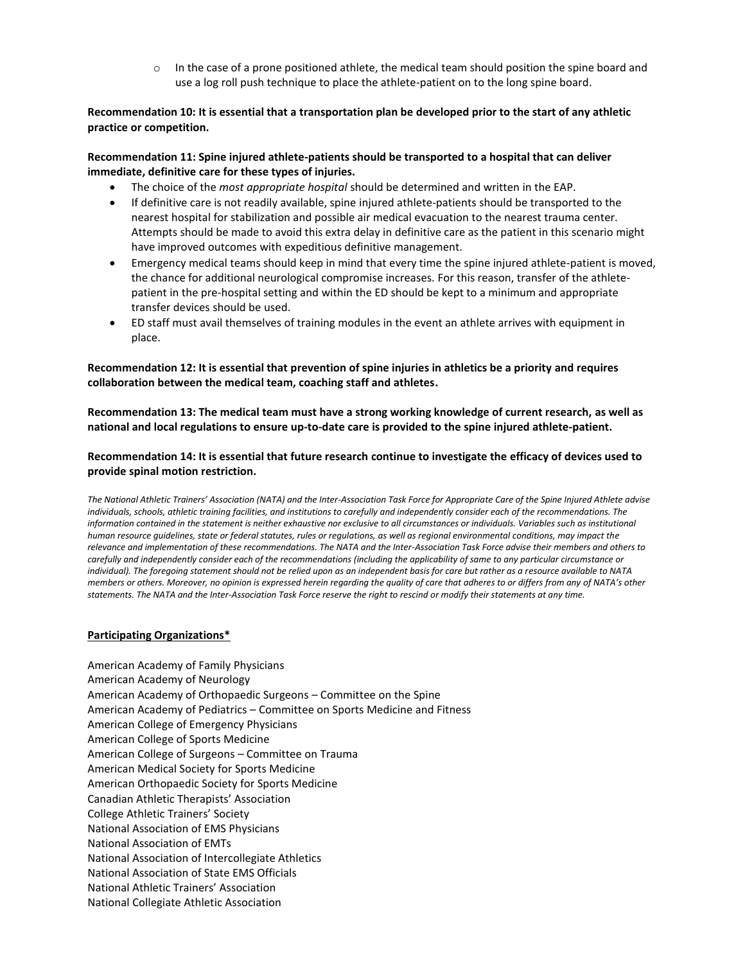$\circ$  In the case of a prone positioned athlete, the medical team should position the spine board and use a log roll push technique to place the athlete-patient on to the long spine board.

# **Recommendation 10: It is essential that a transportation plan be developed prior to the start of any athletic practice or competition.**

# **Recommendation 11: Spine injured athlete-patients should be transported to a hospital that can deliver immediate, definitive care for these types of injuries.**

- The choice of the *most appropriate hospital* should be determined and written in the EAP.
- If definitive care is not readily available, spine injured athlete-patients should be transported to the nearest hospital for stabilization and possible air medical evacuation to the nearest trauma center. Attempts should be made to avoid this extra delay in definitive care as the patient in this scenario might have improved outcomes with expeditious definitive management.
- Emergency medical teams should keep in mind that every time the spine injured athlete-patient is moved, the chance for additional neurological compromise increases. For this reason, transfer of the athletepatient in the pre-hospital setting and within the ED should be kept to a minimum and appropriate transfer devices should be used.
- ED staff must avail themselves of training modules in the event an athlete arrives with equipment in place.

#### **Recommendation 12: It is essential that prevention of spine injuries in athletics be a priority and requires collaboration between the medical team, coaching staff and athletes.**

**Recommendation 13: The medical team must have a strong working knowledge of current research, as well as national and local regulations to ensure up-to-date care is provided to the spine injured athlete-patient.** 

#### **Recommendation 14: It is essential that future research continue to investigate the efficacy of devices used to provide spinal motion restriction.**

*The National Athletic Trainers' Association (NATA) and the Inter-Association Task Force for Appropriate Care of the Spine Injured Athlete advise*  individuals, schools, athletic training facilities, and institutions to carefully and independently consider each of the recommendations. The *information contained in the statement is neither exhaustive nor exclusive to all circumstances or individuals. Variables such as institutional human resource guidelines, state or federal statutes, rules or regulations, as well as regional environmental conditions, may impact the relevance and implementation of these recommendations. The NATA and the Inter-Association Task Force advise their members and others to carefully and independently consider each of the recommendations (including the applicability of same to any particular circumstance or individual). The foregoing statement should not be relied upon as an independent basis for care but rather as a resource available to NATA members or others. Moreover, no opinion is expressed herein regarding the quality of care that adheres to or differs from any of NATA's other statements. The NATA and the Inter-Association Task Force reserve the right to rescind or modify their statements at any time.* 

#### **Participating Organizations\***

American Academy of Family Physicians American Academy of Neurology American Academy of Orthopaedic Surgeons – Committee on the Spine American Academy of Pediatrics – Committee on Sports Medicine and Fitness American College of Emergency Physicians American College of Sports Medicine American College of Surgeons – Committee on Trauma American Medical Society for Sports Medicine American Orthopaedic Society for Sports Medicine Canadian Athletic Therapists' Association College Athletic Trainers' Society National Association of EMS Physicians National Association of EMTs National Association of Intercollegiate Athletics National Association of State EMS Officials National Athletic Trainers' Association National Collegiate Athletic Association